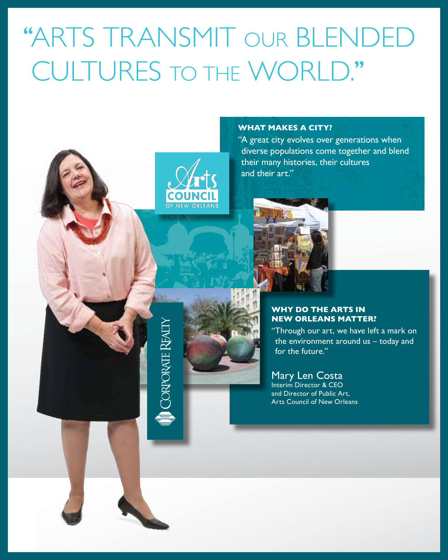# ''arts transmit our blended cultures to the world.''



**CORPORATE REAL** 

#### **What makes a city?**

"A great city evolves over generations when diverse populations come together and blend their many histories, their cultures and their art."



#### **Why do the arts in New Orleans matter?**

"Through our art, we have left a mark on the environment around us – today and for the future."

## Mary Len Costa

Interim Director & CEO and Director of Public Art, Arts Council of New Orleans